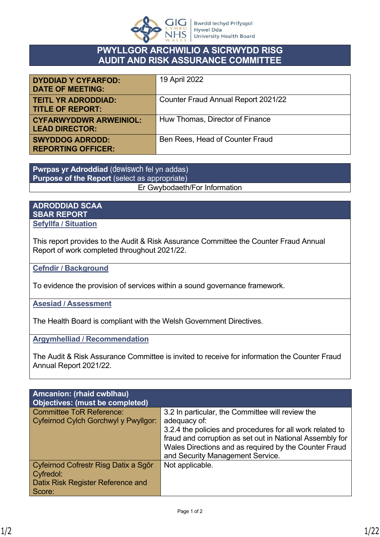

## **PWYLLGOR ARCHWILIO A SICRWYDD RISG AUDIT AND RISK ASSURANCE COMMITTEE**

| <b>DYDDIAD Y CYFARFOD:</b><br><b>DATE OF MEETING:</b>  | 19 April 2022                       |
|--------------------------------------------------------|-------------------------------------|
| <b>TEITL YR ADRODDIAD:</b><br><b>TITLE OF REPORT:</b>  | Counter Fraud Annual Report 2021/22 |
| <b>CYFARWYDDWR ARWEINIOL:</b><br><b>LEAD DIRECTOR:</b> | Huw Thomas, Director of Finance     |
| <b>SWYDDOG ADRODD:</b><br><b>REPORTING OFFICER:</b>    | Ben Rees, Head of Counter Fraud     |

**Pwrpas yr Adroddiad** (dewiswch fel yn addas) **Purpose of the Report** (select as appropriate) Er Gwybodaeth/For Information

#### **ADRODDIAD SCAA SBAR REPORT Sefyllfa / Situation**

This report provides to the Audit & Risk Assurance Committee the Counter Fraud Annual Report of work completed throughout 2021/22.

**Cefndir / Background**

To evidence the provision of services within a sound governance framework.

#### **Asesiad / Assessment**

The Health Board is compliant with the Welsh Government Directives.

**Argymhelliad / Recommendation**

The Audit & Risk Assurance Committee is invited to receive for information the Counter Fraud Annual Report 2021/22.

| Amcanion: (rhaid cwblhau)<br>Objectives: (must be completed) |                                                           |
|--------------------------------------------------------------|-----------------------------------------------------------|
| <b>Committee ToR Reference:</b>                              | 3.2 In particular, the Committee will review the          |
| Cyfeirnod Cylch Gorchwyl y Pwyllgor:                         | adequacy of:                                              |
|                                                              | 3.2.4 the policies and procedures for all work related to |
|                                                              | fraud and corruption as set out in National Assembly for  |
|                                                              | Wales Directions and as required by the Counter Fraud     |
|                                                              | and Security Management Service.                          |
| Cyfeirnod Cofrestr Risg Datix a Sgôr                         | Not applicable.                                           |
| Cyfredol:                                                    |                                                           |
| Datix Risk Register Reference and                            |                                                           |
| Score:                                                       |                                                           |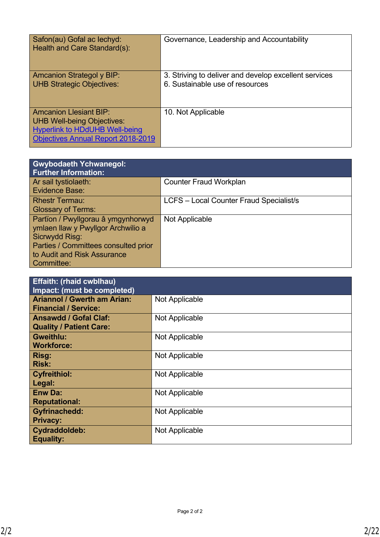| Safon(au) Gofal ac lechyd:<br>Health and Care Standard(s):                                                                                               | Governance, Leadership and Accountability                                                |
|----------------------------------------------------------------------------------------------------------------------------------------------------------|------------------------------------------------------------------------------------------|
| <b>Amcanion Strategol y BIP:</b><br><b>UHB Strategic Objectives:</b>                                                                                     | 3. Striving to deliver and develop excellent services<br>6. Sustainable use of resources |
| <b>Amcanion Llesiant BIP:</b><br><b>UHB Well-being Objectives:</b><br><b>Hyperlink to HDdUHB Well-being</b><br><b>Objectives Annual Report 2018-2019</b> | 10. Not Applicable                                                                       |

| <b>Gwybodaeth Ychwanegol:</b><br><b>Further Information:</b> |                                         |
|--------------------------------------------------------------|-----------------------------------------|
| Ar sail tystiolaeth:                                         | <b>Counter Fraud Workplan</b>           |
| <b>Evidence Base:</b>                                        |                                         |
| <b>Rhestr Termau:</b>                                        | LCFS - Local Counter Fraud Specialist/s |
| <b>Glossary of Terms:</b>                                    |                                         |
| Partïon / Pwyllgorau â ymgynhorwyd                           | Not Applicable                          |
| ymlaen llaw y Pwyllgor Archwilio a                           |                                         |
| Sicrwydd Risg:                                               |                                         |
| Parties / Committees consulted prior                         |                                         |
| to Audit and Risk Assurance                                  |                                         |
| Committee:                                                   |                                         |

| <b>Effaith: (rhaid cwblhau)</b><br>Impact: (must be completed) |                |  |
|----------------------------------------------------------------|----------------|--|
| <b>Ariannol / Gwerth am Arian:</b>                             | Not Applicable |  |
| <b>Financial / Service:</b>                                    |                |  |
| <b>Ansawdd / Gofal Claf:</b><br><b>Quality / Patient Care:</b> | Not Applicable |  |
| <b>Gweithlu:</b><br><b>Workforce:</b>                          | Not Applicable |  |
| Risg:<br><b>Risk:</b>                                          | Not Applicable |  |
| <b>Cyfreithiol:</b><br>Legal:                                  | Not Applicable |  |
| <b>Enw Da:</b><br><b>Reputational:</b>                         | Not Applicable |  |
| <b>Gyfrinachedd:</b><br><b>Privacy:</b>                        | Not Applicable |  |
| Cydraddoldeb:<br><b>Equality:</b>                              | Not Applicable |  |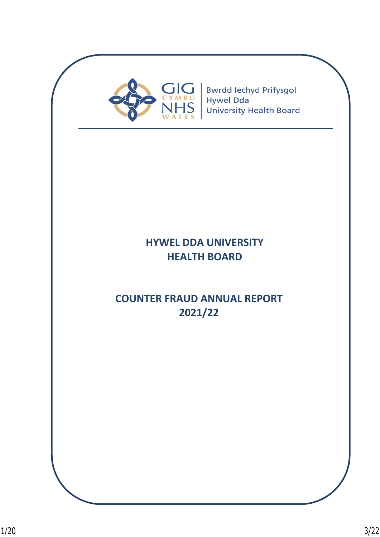

# **HYWEL DDA UNIVERSITY HEALTH BOARD**

# **COUNTER FRAUD ANNUAL REPORT 2021/22**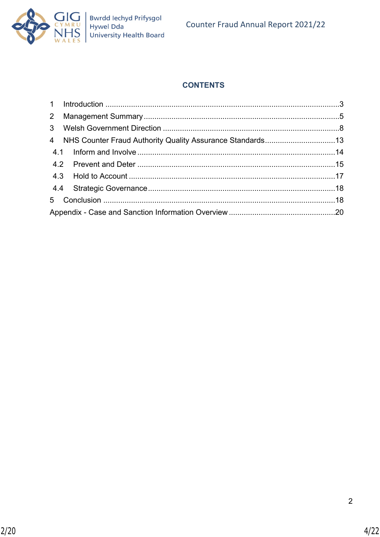

# **CONTENTS**

|  | 4 NHS Counter Fraud Authority Quality Assurance Standards13 |  |
|--|-------------------------------------------------------------|--|
|  |                                                             |  |
|  |                                                             |  |
|  |                                                             |  |
|  |                                                             |  |
|  |                                                             |  |
|  |                                                             |  |
|  |                                                             |  |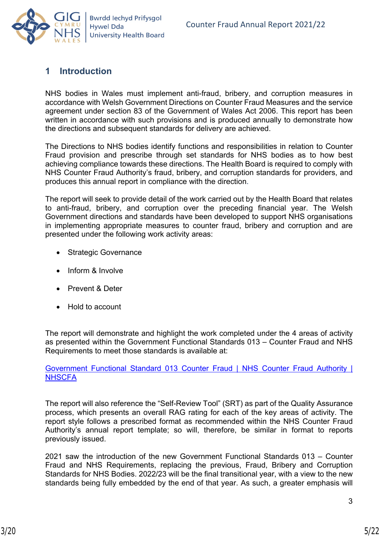

# <span id="page-4-0"></span>**1 Introduction**

NHS bodies in Wales must implement anti-fraud, bribery, and corruption measures in accordance with Welsh Government Directions on Counter Fraud Measures and the service agreement under section 83 of the Government of Wales Act 2006. This report has been written in accordance with such provisions and is produced annually to demonstrate how the directions and subsequent standards for delivery are achieved.

The Directions to NHS bodies identify functions and responsibilities in relation to Counter Fraud provision and prescribe through set standards for NHS bodies as to how best achieving compliance towards these directions. The Health Board is required to comply with NHS Counter Fraud Authority's fraud, bribery, and corruption standards for providers, and produces this annual report in compliance with the direction.

The report will seek to provide detail of the work carried out by the Health Board that relates to anti-fraud, bribery, and corruption over the preceding financial year. The Welsh Government directions and standards have been developed to support NHS organisations in implementing appropriate measures to counter fraud, bribery and corruption and are presented under the following work activity areas:

- Strategic Governance
- Inform & Involve
- Prevent & Deter
- Hold to account

The report will demonstrate and highlight the work completed under the 4 areas of activity as presented within the Government Functional Standards 013 – Counter Fraud and NHS Requirements to meet those standards is available at:

[Government Functional Standard 013 Counter Fraud | NHS Counter Fraud Authority |](https://cfa.nhs.uk/government-functional-standard)  **[NHSCFA](https://cfa.nhs.uk/government-functional-standard)** 

The report will also reference the "Self-Review Tool" (SRT) as part of the Quality Assurance process, which presents an overall RAG rating for each of the key areas of activity. The report style follows a prescribed format as recommended within the NHS Counter Fraud Authority's annual report template; so will, therefore, be similar in format to reports previously issued.

2021 saw the introduction of the new Government Functional Standards 013 – Counter Fraud and NHS Requirements, replacing the previous, Fraud, Bribery and Corruption Standards for NHS Bodies. 2022/23 will be the final transitional year, with a view to the new standards being fully embedded by the end of that year. As such, a greater emphasis will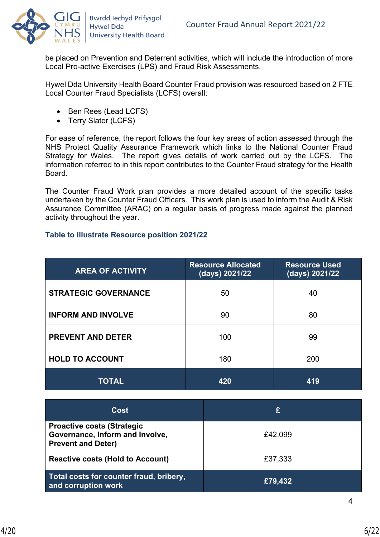

be placed on Prevention and Deterrent activities, which will include the introduction of more Local Pro-active Exercises (LPS) and Fraud Risk Assessments.

Hywel Dda University Health Board Counter Fraud provision was resourced based on 2 FTE Local Counter Fraud Specialists (LCFS) overall:

- Ben Rees (Lead LCFS)
- Terry Slater (LCFS)

For ease of reference, the report follows the four key areas of action assessed through the NHS Protect Quality Assurance Framework which links to the National Counter Fraud Strategy for Wales. The report gives details of work carried out by the LCFS. The information referred to in this report contributes to the Counter Fraud strategy for the Health Board.

The Counter Fraud Work plan provides a more detailed account of the specific tasks undertaken by the Counter Fraud Officers. This work plan is used to inform the Audit & Risk Assurance Committee (ARAC) on a regular basis of progress made against the planned activity throughout the year.

## **Table to illustrate Resource position 2021/22**

| <b>AREA OF ACTIVITY</b>     | <b>Resource Allocated</b><br>(days) 2021/22 | <b>Resource Used</b><br>(days) 2021/22 |  |
|-----------------------------|---------------------------------------------|----------------------------------------|--|
| <b>STRATEGIC GOVERNANCE</b> | 50                                          | 40                                     |  |
| <b>INFORM AND INVOLVE</b>   | 90                                          | 80                                     |  |
| <b>PREVENT AND DETER</b>    | 100                                         | 99                                     |  |
| <b>HOLD TO ACCOUNT</b>      | 180                                         | 200                                    |  |
| <b>TOTAL</b>                | 420                                         | 419                                    |  |

| <b>Cost</b>                                                                                       | £       |
|---------------------------------------------------------------------------------------------------|---------|
| <b>Proactive costs (Strategic</b><br>Governance, Inform and Involve,<br><b>Prevent and Deter)</b> | £42,099 |
| <b>Reactive costs (Hold to Account)</b>                                                           | £37,333 |
| Total costs for counter fraud, bribery,<br>and corruption work                                    | £79,432 |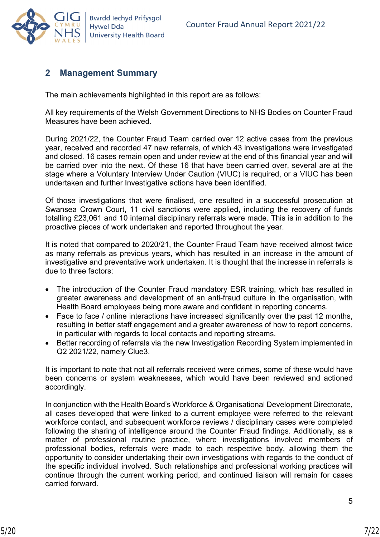

## <span id="page-6-0"></span>**2 Management Summary**

The main achievements highlighted in this report are as follows:

All key requirements of the Welsh Government Directions to NHS Bodies on Counter Fraud Measures have been achieved.

During 2021/22, the Counter Fraud Team carried over 12 active cases from the previous year, received and recorded 47 new referrals, of which 43 investigations were investigated and closed. 16 cases remain open and under review at the end of this financial year and will be carried over into the next. Of these 16 that have been carried over, several are at the stage where a Voluntary Interview Under Caution (VIUC) is required, or a VIUC has been undertaken and further Investigative actions have been identified.

Of those investigations that were finalised, one resulted in a successful prosecution at Swansea Crown Court, 11 civil sanctions were applied, including the recovery of funds totalling £23,061 and 10 internal disciplinary referrals were made. This is in addition to the proactive pieces of work undertaken and reported throughout the year.

It is noted that compared to 2020/21, the Counter Fraud Team have received almost twice as many referrals as previous years, which has resulted in an increase in the amount of investigative and preventative work undertaken. It is thought that the increase in referrals is due to three factors:

- The introduction of the Counter Fraud mandatory ESR training, which has resulted in greater awareness and development of an anti-fraud culture in the organisation, with Health Board employees being more aware and confident in reporting concerns.
- Face to face / online interactions have increased significantly over the past 12 months, resulting in better staff engagement and a greater awareness of how to report concerns, in particular with regards to local contacts and reporting streams.
- Better recording of referrals via the new Investigation Recording System implemented in Q2 2021/22, namely Clue3.

It is important to note that not all referrals received were crimes, some of these would have been concerns or system weaknesses, which would have been reviewed and actioned accordingly.

In conjunction with the Health Board's Workforce & Organisational Development Directorate, all cases developed that were linked to a current employee were referred to the relevant workforce contact, and subsequent workforce reviews / disciplinary cases were completed following the sharing of intelligence around the Counter Fraud findings. Additionally, as a matter of professional routine practice, where investigations involved members of professional bodies, referrals were made to each respective body, allowing them the opportunity to consider undertaking their own investigations with regards to the conduct of the specific individual involved. Such relationships and professional working practices will continue through the current working period, and continued liaison will remain for cases carried forward.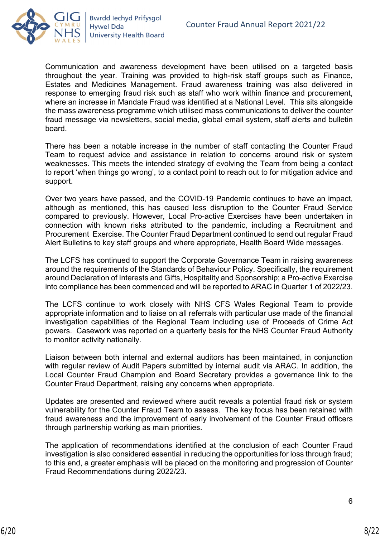

Communication and awareness development have been utilised on a targeted basis throughout the year. Training was provided to high-risk staff groups such as Finance, Estates and Medicines Management. Fraud awareness training was also delivered in response to emerging fraud risk such as staff who work within finance and procurement, where an increase in Mandate Fraud was identified at a National Level. This sits alongside the mass awareness programme which utilised mass communications to deliver the counter fraud message via newsletters, social media, global email system, staff alerts and bulletin board.

There has been a notable increase in the number of staff contacting the Counter Fraud Team to request advice and assistance in relation to concerns around risk or system weaknesses. This meets the intended strategy of evolving the Team from being a contact to report 'when things go wrong', to a contact point to reach out to for mitigation advice and support.

Over two years have passed, and the COVID-19 Pandemic continues to have an impact, although as mentioned, this has caused less disruption to the Counter Fraud Service compared to previously. However, Local Pro-active Exercises have been undertaken in connection with known risks attributed to the pandemic, including a Recruitment and Procurement Exercise. The Counter Fraud Department continued to send out regular Fraud Alert Bulletins to key staff groups and where appropriate, Health Board Wide messages.

The LCFS has continued to support the Corporate Governance Team in raising awareness around the requirements of the Standards of Behaviour Policy. Specifically, the requirement around Declaration of Interests and Gifts, Hospitality and Sponsorship; a Pro-active Exercise into compliance has been commenced and will be reported to ARAC in Quarter 1 of 2022/23.

The LCFS continue to work closely with NHS CFS Wales Regional Team to provide appropriate information and to liaise on all referrals with particular use made of the financial investigation capabilities of the Regional Team including use of Proceeds of Crime Act powers. Casework was reported on a quarterly basis for the NHS Counter Fraud Authority to monitor activity nationally.

Liaison between both internal and external auditors has been maintained, in conjunction with regular review of Audit Papers submitted by internal audit via ARAC. In addition, the Local Counter Fraud Champion and Board Secretary provides a governance link to the Counter Fraud Department, raising any concerns when appropriate.

Updates are presented and reviewed where audit reveals a potential fraud risk or system vulnerability for the Counter Fraud Team to assess. The key focus has been retained with fraud awareness and the improvement of early involvement of the Counter Fraud officers through partnership working as main priorities.

The application of recommendations identified at the conclusion of each Counter Fraud investigation is also considered essential in reducing the opportunities for loss through fraud; to this end, a greater emphasis will be placed on the monitoring and progression of Counter Fraud Recommendations during 2022/23.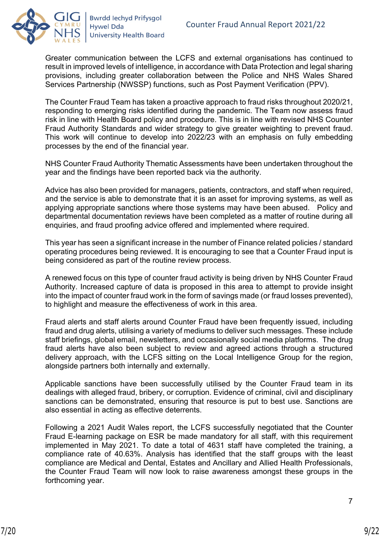

Greater communication between the LCFS and external organisations has continued to result in improved levels of intelligence, in accordance with Data Protection and legal sharing provisions, including greater collaboration between the Police and NHS Wales Shared Services Partnership (NWSSP) functions, such as Post Payment Verification (PPV).

The Counter Fraud Team has taken a proactive approach to fraud risks throughout 2020/21, responding to emerging risks identified during the pandemic. The Team now assess fraud risk in line with Health Board policy and procedure. This is in line with revised NHS Counter Fraud Authority Standards and wider strategy to give greater weighting to prevent fraud. This work will continue to develop into 2022/23 with an emphasis on fully embedding processes by the end of the financial year.

NHS Counter Fraud Authority Thematic Assessments have been undertaken throughout the year and the findings have been reported back via the authority.

Advice has also been provided for managers, patients, contractors, and staff when required, and the service is able to demonstrate that it is an asset for improving systems, as well as applying appropriate sanctions where those systems may have been abused. Policy and departmental documentation reviews have been completed as a matter of routine during all enquiries, and fraud proofing advice offered and implemented where required.

This year has seen a significant increase in the number of Finance related policies / standard operating procedures being reviewed. It is encouraging to see that a Counter Fraud input is being considered as part of the routine review process.

A renewed focus on this type of counter fraud activity is being driven by NHS Counter Fraud Authority. Increased capture of data is proposed in this area to attempt to provide insight into the impact of counter fraud work in the form of savings made (or fraud losses prevented), to highlight and measure the effectiveness of work in this area.

Fraud alerts and staff alerts around Counter Fraud have been frequently issued, including fraud and drug alerts, utilising a variety of mediums to deliver such messages. These include staff briefings, global email, newsletters, and occasionally social media platforms. The drug fraud alerts have also been subject to review and agreed actions through a structured delivery approach, with the LCFS sitting on the Local Intelligence Group for the region, alongside partners both internally and externally.

Applicable sanctions have been successfully utilised by the Counter Fraud team in its dealings with alleged fraud, bribery, or corruption. Evidence of criminal, civil and disciplinary sanctions can be demonstrated, ensuring that resource is put to best use. Sanctions are also essential in acting as effective deterrents.

Following a 2021 Audit Wales report, the LCFS successfully negotiated that the Counter Fraud E-learning package on ESR be made mandatory for all staff, with this requirement implemented in May 2021. To date a total of 4631 staff have completed the training, a compliance rate of 40.63%. Analysis has identified that the staff groups with the least compliance are Medical and Dental, Estates and Ancillary and Allied Health Professionals, the Counter Fraud Team will now look to raise awareness amongst these groups in the forthcoming year.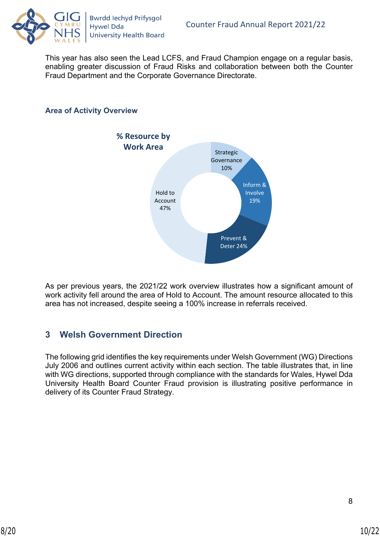

This year has also seen the Lead LCFS, and Fraud Champion engage on a regular basis, enabling greater discussion of Fraud Risks and collaboration between both the Counter Fraud Department and the Corporate Governance Directorate.

## **Area of Activity Overview**



As per previous years, the 2021/22 work overview illustrates how a significant amount of work activity fell around the area of Hold to Account. The amount resource allocated to this area has not increased, despite seeing a 100% increase in referrals received.

## <span id="page-9-0"></span>**3 Welsh Government Direction**

The following grid identifies the key requirements under Welsh Government (WG) Directions July 2006 and outlines current activity within each section. The table illustrates that, in line with WG directions, supported through compliance with the standards for Wales, Hywel Dda University Health Board Counter Fraud provision is illustrating positive performance in delivery of its Counter Fraud Strategy.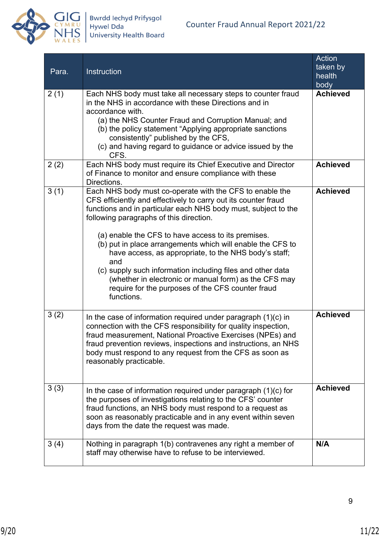

| Para. | Instruction                                                                                                                                                                                                                                                                                                                                                                                                                                                                                                                                                                                                           | <b>Action</b><br>taken by<br>health<br>body |
|-------|-----------------------------------------------------------------------------------------------------------------------------------------------------------------------------------------------------------------------------------------------------------------------------------------------------------------------------------------------------------------------------------------------------------------------------------------------------------------------------------------------------------------------------------------------------------------------------------------------------------------------|---------------------------------------------|
| 2(1)  | Each NHS body must take all necessary steps to counter fraud<br>in the NHS in accordance with these Directions and in<br>accordance with.<br>(a) the NHS Counter Fraud and Corruption Manual; and<br>(b) the policy statement "Applying appropriate sanctions<br>consistently" published by the CFS,<br>(c) and having regard to guidance or advice issued by the<br>CFS.                                                                                                                                                                                                                                             | <b>Achieved</b>                             |
| 2(2)  | Each NHS body must require its Chief Executive and Director<br>of Finance to monitor and ensure compliance with these<br>Directions.                                                                                                                                                                                                                                                                                                                                                                                                                                                                                  | <b>Achieved</b>                             |
| 3(1)  | Each NHS body must co-operate with the CFS to enable the<br>CFS efficiently and effectively to carry out its counter fraud<br>functions and in particular each NHS body must, subject to the<br>following paragraphs of this direction.<br>(a) enable the CFS to have access to its premises.<br>(b) put in place arrangements which will enable the CFS to<br>have access, as appropriate, to the NHS body's staff;<br>and<br>(c) supply such information including files and other data<br>(whether in electronic or manual form) as the CFS may<br>require for the purposes of the CFS counter fraud<br>functions. | <b>Achieved</b>                             |
| 3(2)  | In the case of information required under paragraph $(1)(c)$ in<br>connection with the CFS responsibility for quality inspection,<br>fraud measurement, National Proactive Exercises (NPEs) and<br>fraud prevention reviews, inspections and instructions, an NHS<br>body must respond to any request from the CFS as soon as<br>reasonably practicable.                                                                                                                                                                                                                                                              | <b>Achieved</b>                             |
| 3(3)  | In the case of information required under paragraph $(1)(c)$ for<br>the purposes of investigations relating to the CFS' counter<br>fraud functions, an NHS body must respond to a request as<br>soon as reasonably practicable and in any event within seven<br>days from the date the request was made.                                                                                                                                                                                                                                                                                                              | <b>Achieved</b>                             |
| 3(4)  | Nothing in paragraph 1(b) contravenes any right a member of<br>staff may otherwise have to refuse to be interviewed.                                                                                                                                                                                                                                                                                                                                                                                                                                                                                                  | N/A                                         |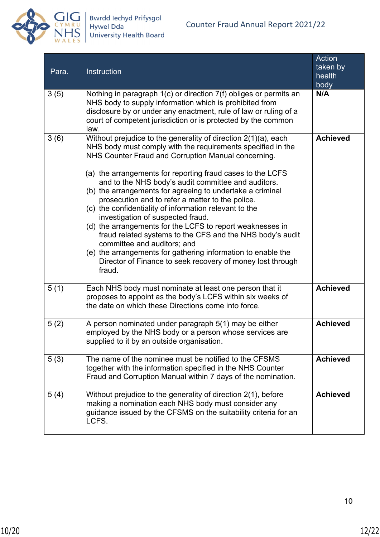

| Para. | Instruction                                                                                                                                                                                                                                                                                                                                                                                                                                                                                                                                                                                                                                                                                                                                                                                                                | Action<br>taken by<br>health<br>body |
|-------|----------------------------------------------------------------------------------------------------------------------------------------------------------------------------------------------------------------------------------------------------------------------------------------------------------------------------------------------------------------------------------------------------------------------------------------------------------------------------------------------------------------------------------------------------------------------------------------------------------------------------------------------------------------------------------------------------------------------------------------------------------------------------------------------------------------------------|--------------------------------------|
| 3(5)  | Nothing in paragraph 1(c) or direction 7(f) obliges or permits an<br>NHS body to supply information which is prohibited from<br>disclosure by or under any enactment, rule of law or ruling of a<br>court of competent jurisdiction or is protected by the common<br>law.                                                                                                                                                                                                                                                                                                                                                                                                                                                                                                                                                  | N/A                                  |
| 3(6)  | Without prejudice to the generality of direction 2(1)(a), each<br>NHS body must comply with the requirements specified in the<br>NHS Counter Fraud and Corruption Manual concerning.<br>(a) the arrangements for reporting fraud cases to the LCFS<br>and to the NHS body's audit committee and auditors.<br>(b) the arrangements for agreeing to undertake a criminal<br>prosecution and to refer a matter to the police.<br>(c) the confidentiality of information relevant to the<br>investigation of suspected fraud.<br>(d) the arrangements for the LCFS to report weaknesses in<br>fraud related systems to the CFS and the NHS body's audit<br>committee and auditors; and<br>(e) the arrangements for gathering information to enable the<br>Director of Finance to seek recovery of money lost through<br>fraud. | <b>Achieved</b>                      |
| 5(1)  | Each NHS body must nominate at least one person that it<br>proposes to appoint as the body's LCFS within six weeks of<br>the date on which these Directions come into force.                                                                                                                                                                                                                                                                                                                                                                                                                                                                                                                                                                                                                                               | <b>Achieved</b>                      |
| 5(2)  | A person nominated under paragraph 5(1) may be either<br>employed by the NHS body or a person whose services are<br>supplied to it by an outside organisation.                                                                                                                                                                                                                                                                                                                                                                                                                                                                                                                                                                                                                                                             | <b>Achieved</b>                      |
| 5(3)  | The name of the nominee must be notified to the CFSMS<br>together with the information specified in the NHS Counter<br>Fraud and Corruption Manual within 7 days of the nomination.                                                                                                                                                                                                                                                                                                                                                                                                                                                                                                                                                                                                                                        | <b>Achieved</b>                      |
| 5(4)  | Without prejudice to the generality of direction 2(1), before<br>making a nomination each NHS body must consider any<br>guidance issued by the CFSMS on the suitability criteria for an<br>LCFS.                                                                                                                                                                                                                                                                                                                                                                                                                                                                                                                                                                                                                           | <b>Achieved</b>                      |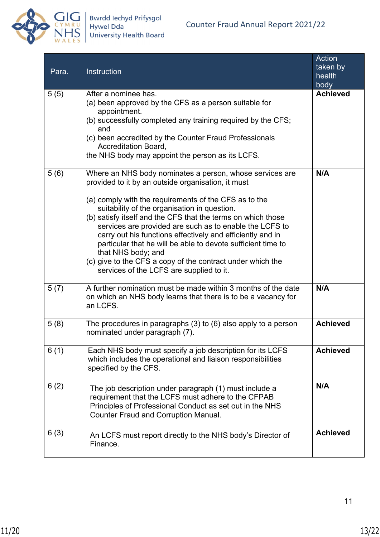

| Para. | <b>Instruction</b>                                                                                                                                                                                                                                                                                                                                                                                                                                                                                                                                                                                               | Action<br>taken by<br>health<br>body |
|-------|------------------------------------------------------------------------------------------------------------------------------------------------------------------------------------------------------------------------------------------------------------------------------------------------------------------------------------------------------------------------------------------------------------------------------------------------------------------------------------------------------------------------------------------------------------------------------------------------------------------|--------------------------------------|
| 5(5)  | After a nominee has.<br>(a) been approved by the CFS as a person suitable for<br>appointment.<br>(b) successfully completed any training required by the CFS;<br>and<br>(c) been accredited by the Counter Fraud Professionals<br><b>Accreditation Board,</b><br>the NHS body may appoint the person as its LCFS.                                                                                                                                                                                                                                                                                                | <b>Achieved</b>                      |
| 5(6)  | Where an NHS body nominates a person, whose services are<br>provided to it by an outside organisation, it must<br>(a) comply with the requirements of the CFS as to the<br>suitability of the organisation in question.<br>(b) satisfy itself and the CFS that the terms on which those<br>services are provided are such as to enable the LCFS to<br>carry out his functions effectively and efficiently and in<br>particular that he will be able to devote sufficient time to<br>that NHS body; and<br>(c) give to the CFS a copy of the contract under which the<br>services of the LCFS are supplied to it. | N/A                                  |
| 5(7)  | A further nomination must be made within 3 months of the date<br>on which an NHS body learns that there is to be a vacancy for<br>an LCFS.                                                                                                                                                                                                                                                                                                                                                                                                                                                                       | N/A                                  |
| 5(8)  | The procedures in paragraphs (3) to (6) also apply to a person<br>nominated under paragraph (7).                                                                                                                                                                                                                                                                                                                                                                                                                                                                                                                 | <b>Achieved</b>                      |
| 6(1)  | Each NHS body must specify a job description for its LCFS<br>which includes the operational and liaison responsibilities<br>specified by the CFS.                                                                                                                                                                                                                                                                                                                                                                                                                                                                | <b>Achieved</b>                      |
| 6(2)  | The job description under paragraph (1) must include a<br>requirement that the LCFS must adhere to the CFPAB<br>Principles of Professional Conduct as set out in the NHS<br><b>Counter Fraud and Corruption Manual.</b>                                                                                                                                                                                                                                                                                                                                                                                          | N/A                                  |
| 6(3)  | An LCFS must report directly to the NHS body's Director of<br>Finance.                                                                                                                                                                                                                                                                                                                                                                                                                                                                                                                                           | <b>Achieved</b>                      |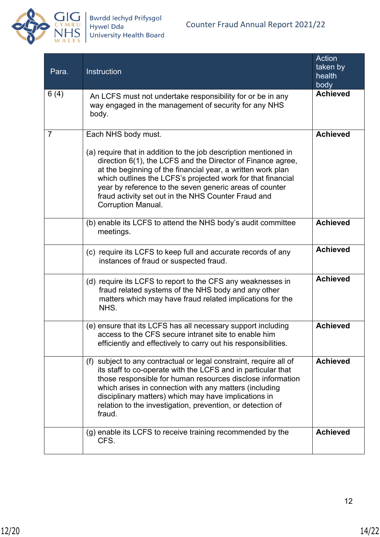

| Para.          | Instruction                                                                                                                                                                                                                                                                                                                                                                                                                         | <b>Action</b><br>taken by<br>health<br>body |
|----------------|-------------------------------------------------------------------------------------------------------------------------------------------------------------------------------------------------------------------------------------------------------------------------------------------------------------------------------------------------------------------------------------------------------------------------------------|---------------------------------------------|
| 6(4)           | An LCFS must not undertake responsibility for or be in any<br>way engaged in the management of security for any NHS<br>body.                                                                                                                                                                                                                                                                                                        | <b>Achieved</b>                             |
| $\overline{7}$ | Each NHS body must.<br>(a) require that in addition to the job description mentioned in<br>direction 6(1), the LCFS and the Director of Finance agree,<br>at the beginning of the financial year, a written work plan<br>which outlines the LCFS's projected work for that financial<br>year by reference to the seven generic areas of counter<br>fraud activity set out in the NHS Counter Fraud and<br><b>Corruption Manual.</b> | <b>Achieved</b>                             |
|                | (b) enable its LCFS to attend the NHS body's audit committee<br>meetings.                                                                                                                                                                                                                                                                                                                                                           | <b>Achieved</b>                             |
|                | (c) require its LCFS to keep full and accurate records of any<br>instances of fraud or suspected fraud.                                                                                                                                                                                                                                                                                                                             | <b>Achieved</b>                             |
|                | (d) require its LCFS to report to the CFS any weaknesses in<br>fraud related systems of the NHS body and any other<br>matters which may have fraud related implications for the<br>NHS.                                                                                                                                                                                                                                             | <b>Achieved</b>                             |
|                | (e) ensure that its LCFS has all necessary support including<br>access to the CFS secure intranet site to enable him<br>efficiently and effectively to carry out his responsibilities.                                                                                                                                                                                                                                              | <b>Achieved</b>                             |
|                | (f) subject to any contractual or legal constraint, require all of<br>its staff to co-operate with the LCFS and in particular that<br>those responsible for human resources disclose information<br>which arises in connection with any matters (including<br>disciplinary matters) which may have implications in<br>relation to the investigation, prevention, or detection of<br>fraud.                                          | <b>Achieved</b>                             |
|                | (g) enable its LCFS to receive training recommended by the<br>CFS.                                                                                                                                                                                                                                                                                                                                                                  | <b>Achieved</b>                             |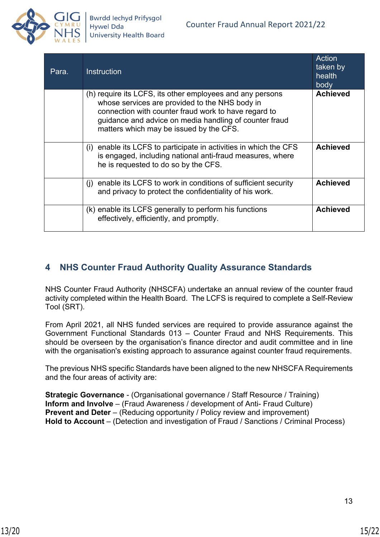

| Para. | <b>Instruction</b>                                                                                                                                                                                                                                                       | Action<br>taken by<br>health<br>body |
|-------|--------------------------------------------------------------------------------------------------------------------------------------------------------------------------------------------------------------------------------------------------------------------------|--------------------------------------|
|       | (h) require its LCFS, its other employees and any persons<br>whose services are provided to the NHS body in<br>connection with counter fraud work to have regard to<br>guidance and advice on media handling of counter fraud<br>matters which may be issued by the CFS. | <b>Achieved</b>                      |
|       | enable its LCFS to participate in activities in which the CFS<br>(i)<br>is engaged, including national anti-fraud measures, where<br>he is requested to do so by the CFS.                                                                                                | <b>Achieved</b>                      |
|       | enable its LCFS to work in conditions of sufficient security<br>(i)<br>and privacy to protect the confidentiality of his work.                                                                                                                                           | <b>Achieved</b>                      |
|       | (k) enable its LCFS generally to perform his functions<br>effectively, efficiently, and promptly.                                                                                                                                                                        | <b>Achieved</b>                      |

## <span id="page-14-0"></span>**4 NHS Counter Fraud Authority Quality Assurance Standards**

NHS Counter Fraud Authority (NHSCFA) undertake an annual review of the counter fraud activity completed within the Health Board. The LCFS is required to complete a Self-Review Tool (SRT).

From April 2021, all NHS funded services are required to provide assurance against the Government Functional Standards 013 – Counter Fraud and NHS Requirements. This should be overseen by the organisation's finance director and audit committee and in line with the organisation's existing approach to assurance against counter fraud requirements.

The previous NHS specific Standards have been aligned to the new NHSCFA Requirements and the four areas of activity are:

**Strategic Governance** - (Organisational governance / Staff Resource / Training) **Inform and Involve** – (Fraud Awareness / development of Anti- Fraud Culture) **Prevent and Deter** – (Reducing opportunity / Policy review and improvement) **Hold to Account** – (Detection and investigation of Fraud / Sanctions / Criminal Process)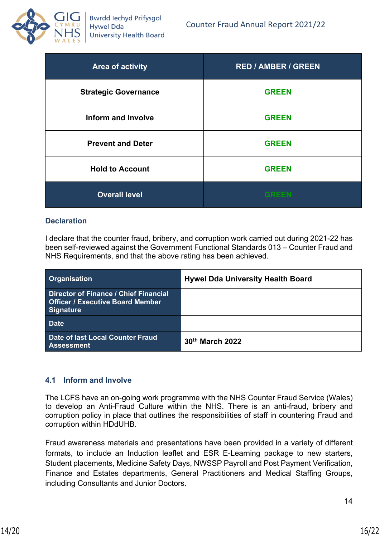

| Area of activity            | <b>RED / AMBER / GREEN</b> |
|-----------------------------|----------------------------|
| <b>Strategic Governance</b> | <b>GREEN</b>               |
| <b>Inform and Involve</b>   | <b>GREEN</b>               |
| <b>Prevent and Deter</b>    | <b>GREEN</b>               |
| <b>Hold to Account</b>      | <b>GREEN</b>               |
| <b>Overall level</b>        |                            |

### **Declaration**

I declare that the counter fraud, bribery, and corruption work carried out during 2021-22 has been self-reviewed against the Government Functional Standards 013 – Counter Fraud and NHS Requirements, and that the above rating has been achieved.

| <b>Organisation</b>                                                                                  | <b>Hywel Dda University Health Board</b> |
|------------------------------------------------------------------------------------------------------|------------------------------------------|
| Director of Finance / Chief Financial<br><b>Officer / Executive Board Member</b><br><b>Signature</b> |                                          |
| <b>Date</b>                                                                                          |                                          |
| Date of last Local Counter Fraud<br><b>Assessment</b>                                                | 30th March 2022                          |

#### <span id="page-15-0"></span>**4.1 Inform and Involve**

The LCFS have an on-going work programme with the NHS Counter Fraud Service (Wales) to develop an Anti-Fraud Culture within the NHS. There is an anti-fraud, bribery and corruption policy in place that outlines the responsibilities of staff in countering Fraud and corruption within HDdUHB.

Fraud awareness materials and presentations have been provided in a variety of different formats, to include an Induction leaflet and ESR E-Learning package to new starters, Student placements, Medicine Safety Days, NWSSP Payroll and Post Payment Verification, Finance and Estates departments, General Practitioners and Medical Staffing Groups, including Consultants and Junior Doctors.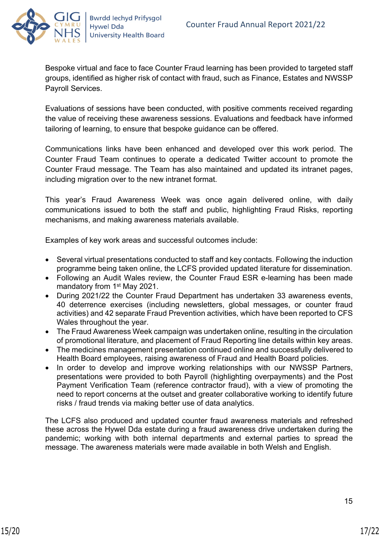

Bespoke virtual and face to face Counter Fraud learning has been provided to targeted staff groups, identified as higher risk of contact with fraud, such as Finance, Estates and NWSSP Payroll Services.

Evaluations of sessions have been conducted, with positive comments received regarding the value of receiving these awareness sessions. Evaluations and feedback have informed tailoring of learning, to ensure that bespoke guidance can be offered.

Communications links have been enhanced and developed over this work period. The Counter Fraud Team continues to operate a dedicated Twitter account to promote the Counter Fraud message. The Team has also maintained and updated its intranet pages, including migration over to the new intranet format.

This year's Fraud Awareness Week was once again delivered online, with daily communications issued to both the staff and public, highlighting Fraud Risks, reporting mechanisms, and making awareness materials available.

Examples of key work areas and successful outcomes include:

- Several virtual presentations conducted to staff and key contacts. Following the induction programme being taken online, the LCFS provided updated literature for dissemination.
- Following an Audit Wales review, the Counter Fraud ESR e-learning has been made mandatory from 1st May 2021.
- During 2021/22 the Counter Fraud Department has undertaken 33 awareness events, 40 deterrence exercises (including newsletters, global messages, or counter fraud activities) and 42 separate Fraud Prevention activities, which have been reported to CFS Wales throughout the year.
- The Fraud Awareness Week campaign was undertaken online, resulting in the circulation of promotional literature, and placement of Fraud Reporting line details within key areas.
- The medicines management presentation continued online and successfully delivered to Health Board employees, raising awareness of Fraud and Health Board policies.
- In order to develop and improve working relationships with our NWSSP Partners, presentations were provided to both Payroll (highlighting overpayments) and the Post Payment Verification Team (reference contractor fraud), with a view of promoting the need to report concerns at the outset and greater collaborative working to identify future risks / fraud trends via making better use of data analytics.

The LCFS also produced and updated counter fraud awareness materials and refreshed these across the Hywel Dda estate during a fraud awareness drive undertaken during the pandemic; working with both internal departments and external parties to spread the message. The awareness materials were made available in both Welsh and English.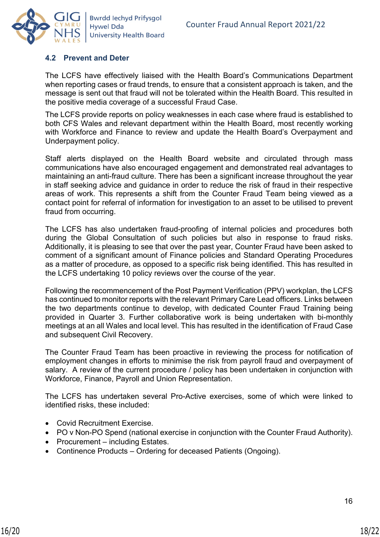

### <span id="page-17-0"></span>**4.2 Prevent and Deter**

The LCFS have effectively liaised with the Health Board's Communications Department when reporting cases or fraud trends, to ensure that a consistent approach is taken, and the message is sent out that fraud will not be tolerated within the Health Board. This resulted in the positive media coverage of a successful Fraud Case.

The LCFS provide reports on policy weaknesses in each case where fraud is established to both CFS Wales and relevant department within the Health Board, most recently working with Workforce and Finance to review and update the Health Board's Overpayment and Underpayment policy.

Staff alerts displayed on the Health Board website and circulated through mass communications have also encouraged engagement and demonstrated real advantages to maintaining an anti-fraud culture. There has been a significant increase throughout the year in staff seeking advice and guidance in order to reduce the risk of fraud in their respective areas of work. This represents a shift from the Counter Fraud Team being viewed as a contact point for referral of information for investigation to an asset to be utilised to prevent fraud from occurring.

The LCFS has also undertaken fraud-proofing of internal policies and procedures both during the Global Consultation of such policies but also in response to fraud risks. Additionally, it is pleasing to see that over the past year, Counter Fraud have been asked to comment of a significant amount of Finance policies and Standard Operating Procedures as a matter of procedure, as opposed to a specific risk being identified. This has resulted in the LCFS undertaking 10 policy reviews over the course of the year.

Following the recommencement of the Post Payment Verification (PPV) workplan, the LCFS has continued to monitor reports with the relevant Primary Care Lead officers. Links between the two departments continue to develop, with dedicated Counter Fraud Training being provided in Quarter 3. Further collaborative work is being undertaken with bi-monthly meetings at an all Wales and local level. This has resulted in the identification of Fraud Case and subsequent Civil Recovery.

The Counter Fraud Team has been proactive in reviewing the process for notification of employment changes in efforts to minimise the risk from payroll fraud and overpayment of salary. A review of the current procedure / policy has been undertaken in conjunction with Workforce, Finance, Payroll and Union Representation.

The LCFS has undertaken several Pro-Active exercises, some of which were linked to identified risks, these included:

- Covid Recruitment Exercise.
- PO v Non-PO Spend (national exercise in conjunction with the Counter Fraud Authority).
- Procurement including Estates.
- Continence Products Ordering for deceased Patients (Ongoing).

16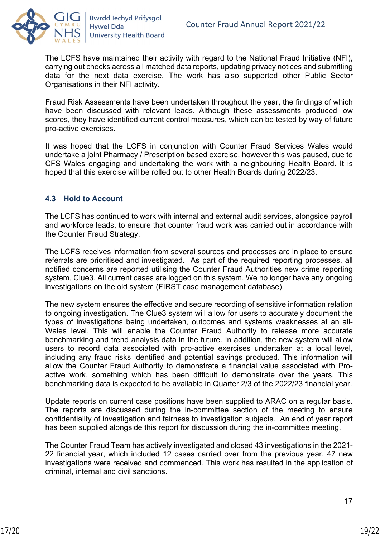

The LCFS have maintained their activity with regard to the National Fraud Initiative (NFI), carrying out checks across all matched data reports, updating privacy notices and submitting data for the next data exercise. The work has also supported other Public Sector Organisations in their NFI activity.

Fraud Risk Assessments have been undertaken throughout the year, the findings of which have been discussed with relevant leads. Although these assessments produced low scores, they have identified current control measures, which can be tested by way of future pro-active exercises.

It was hoped that the LCFS in conjunction with Counter Fraud Services Wales would undertake a joint Pharmacy / Prescription based exercise, however this was paused, due to CFS Wales engaging and undertaking the work with a neighbouring Health Board. It is hoped that this exercise will be rolled out to other Health Boards during 2022/23.

## <span id="page-18-0"></span>**4.3 Hold to Account**

The LCFS has continued to work with internal and external audit services, alongside payroll and workforce leads, to ensure that counter fraud work was carried out in accordance with the Counter Fraud Strategy.

The LCFS receives information from several sources and processes are in place to ensure referrals are prioritised and investigated. As part of the required reporting processes, all notified concerns are reported utilising the Counter Fraud Authorities new crime reporting system, Clue3. All current cases are logged on this system. We no longer have any ongoing investigations on the old system (FIRST case management database).

The new system ensures the effective and secure recording of sensitive information relation to ongoing investigation. The Clue3 system will allow for users to accurately document the types of investigations being undertaken, outcomes and systems weaknesses at an all-Wales level. This will enable the Counter Fraud Authority to release more accurate benchmarking and trend analysis data in the future. In addition, the new system will allow users to record data associated with pro-active exercises undertaken at a local level, including any fraud risks identified and potential savings produced. This information will allow the Counter Fraud Authority to demonstrate a financial value associated with Proactive work, something which has been difficult to demonstrate over the years. This benchmarking data is expected to be available in Quarter 2/3 of the 2022/23 financial year.

Update reports on current case positions have been supplied to ARAC on a regular basis. The reports are discussed during the in-committee section of the meeting to ensure confidentiality of investigation and fairness to investigation subjects. An end of year report has been supplied alongside this report for discussion during the in-committee meeting.

The Counter Fraud Team has actively investigated and closed 43 investigations in the 2021- 22 financial year, which included 12 cases carried over from the previous year. 47 new investigations were received and commenced. This work has resulted in the application of criminal, internal and civil sanctions.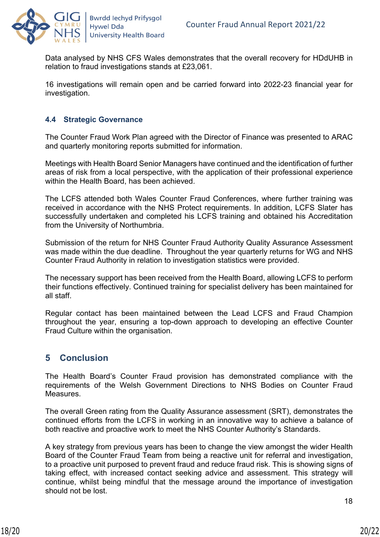

Data analysed by NHS CFS Wales demonstrates that the overall recovery for HDdUHB in relation to fraud investigations stands at £23,061.

16 investigations will remain open and be carried forward into 2022-23 financial year for investigation.

## <span id="page-19-0"></span>**4.4 Strategic Governance**

The Counter Fraud Work Plan agreed with the Director of Finance was presented to ARAC and quarterly monitoring reports submitted for information.

Meetings with Health Board Senior Managers have continued and the identification of further areas of risk from a local perspective, with the application of their professional experience within the Health Board, has been achieved.

The LCFS attended both Wales Counter Fraud Conferences, where further training was received in accordance with the NHS Protect requirements. In addition, LCFS Slater has successfully undertaken and completed his LCFS training and obtained his Accreditation from the University of Northumbria.

Submission of the return for NHS Counter Fraud Authority Quality Assurance Assessment was made within the due deadline. Throughout the year quarterly returns for WG and NHS Counter Fraud Authority in relation to investigation statistics were provided.

The necessary support has been received from the Health Board, allowing LCFS to perform their functions effectively. Continued training for specialist delivery has been maintained for all staff.

Regular contact has been maintained between the Lead LCFS and Fraud Champion throughout the year, ensuring a top-down approach to developing an effective Counter Fraud Culture within the organisation.

## <span id="page-19-1"></span>**5 Conclusion**

The Health Board's Counter Fraud provision has demonstrated compliance with the requirements of the Welsh Government Directions to NHS Bodies on Counter Fraud Measures.

The overall Green rating from the Quality Assurance assessment (SRT), demonstrates the continued efforts from the LCFS in working in an innovative way to achieve a balance of both reactive and proactive work to meet the NHS Counter Authority's Standards.

A key strategy from previous years has been to change the view amongst the wider Health Board of the Counter Fraud Team from being a reactive unit for referral and investigation, to a proactive unit purposed to prevent fraud and reduce fraud risk. This is showing signs of taking effect, with increased contact seeking advice and assessment. This strategy will continue, whilst being mindful that the message around the importance of investigation should not be lost.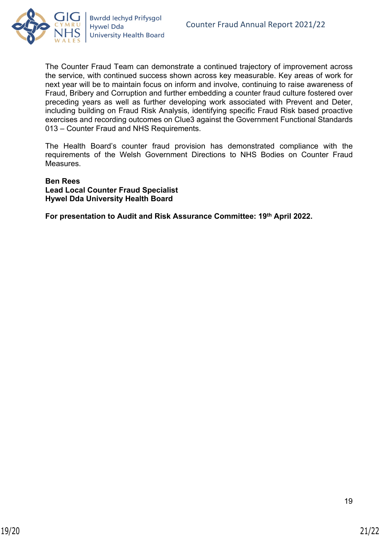

The Counter Fraud Team can demonstrate a continued trajectory of improvement across the service, with continued success shown across key measurable. Key areas of work for next year will be to maintain focus on inform and involve, continuing to raise awareness of Fraud, Bribery and Corruption and further embedding a counter fraud culture fostered over preceding years as well as further developing work associated with Prevent and Deter, including building on Fraud Risk Analysis, identifying specific Fraud Risk based proactive exercises and recording outcomes on Clue3 against the Government Functional Standards 013 – Counter Fraud and NHS Requirements.

The Health Board's counter fraud provision has demonstrated compliance with the requirements of the Welsh Government Directions to NHS Bodies on Counter Fraud Measures.

# **Ben Rees**

**Lead Local Counter Fraud Specialist Hywel Dda University Health Board**

**For presentation to Audit and Risk Assurance Committee: 19th April 2022.**